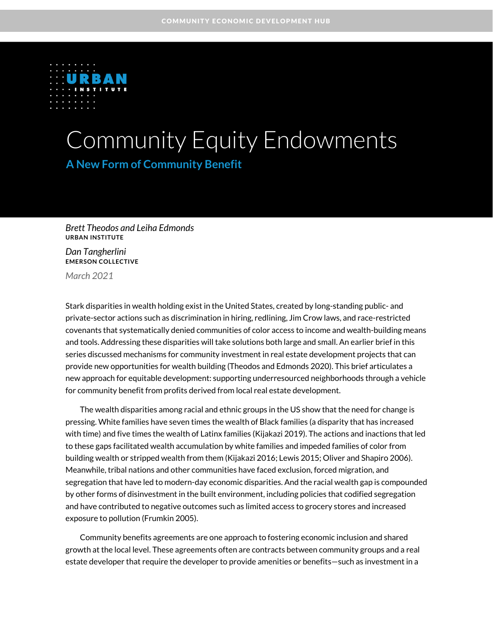

# Community Equity Endowments

**A New Form of Community Benefit**

*Brett Theodos and Leiha Edmonds* **URBAN INSTITUTE**

*Dan Tangherlini* **EMERSON COLLECTIVE**

*March 2021*

Stark disparities in wealth holding exist in the United States, created by long-standing public- and private-sector actions such as discrimination in hiring, redlining, Jim Crow laws, and race-restricted covenants that systematically denied communities of color access to income and wealth-building means and tools. Addressing these disparities will take solutions both large and small. An earlier brief in this series discussed mechanisms for community investment in real estate development projects that can provide new opportunities for wealth building (Theodos and Edmonds 2020). This brief articulates a new approach for equitable development: supporting underresourced neighborhoods through a vehicle for community benefit from profits derived from local real estate development.

The wealth disparities among racial and ethnic groups in the US show that the need for change is pressing. White families have seven times the wealth of Black families (a disparity that has increased with time) and five times the wealth of Latinx families (Kijakazi 2019). The actions and inactions that led to these gaps facilitated wealth accumulation by white families and impeded families of color from building wealth or stripped wealth from them (Kijakazi 2016; Lewis 2015; Oliver and Shapiro 2006). Meanwhile, tribal nations and other communities have faced exclusion, forced migration, and segregation that have led to modern-day economic disparities. And the racial wealth gap is compounded by other forms of disinvestment in the built environment, including policies that codified segregation and have contributed to negative outcomes such as limited access to grocery stores and increased exposure to pollution (Frumkin 2005).

Community benefits agreements are one approach to fostering economic inclusion and shared growth at the local level. These agreements often are contracts between community groups and a real estate developer that require the developer to provide amenities or benefits—such as investment in a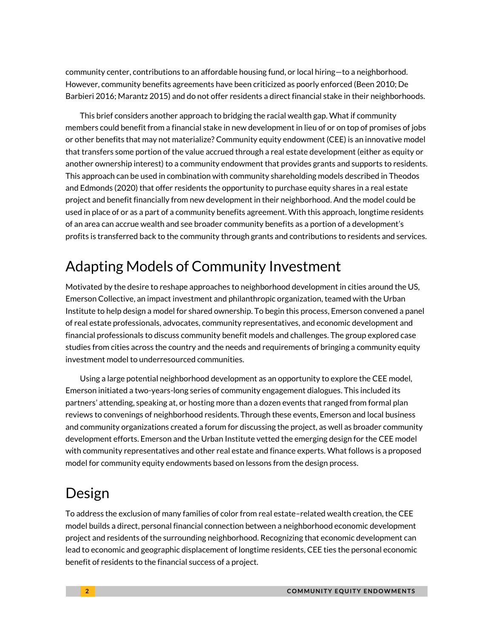community center, contributions to an affordable housing fund, or local hiring—to a neighborhood. However, community benefits agreements have been criticized as poorly enforced (Been 2010; De Barbieri 2016; Marantz 2015) and do not offer residents a direct financial stake in their neighborhoods.

This brief considers another approach to bridging the racial wealth gap. What if community members could benefit from a financial stake in new development in lieu of or on top of promises of jobs or other benefits that may not materialize? Community equity endowment (CEE) is an innovative model that transfers some portion of the value accrued through a real estate development (either as equity or another ownership interest) to a community endowment that provides grants and supports to residents. This approach can be used in combination with community shareholding models described in Theodos and Edmonds (2020) that offer residents the opportunity to purchase equity shares in a real estate project and benefit financially from new development in their neighborhood. And the model could be used in place of or as a part of a community benefits agreement. With this approach, longtime residents of an area can accrue wealth and see broader community benefits as a portion of a development's profits is transferred back to the community through grants and contributions to residents and services.

# Adapting Models of Community Investment

Motivated by the desire to reshape approaches to neighborhood development in cities around the US, Emerson Collective, an impact investment and philanthropic organization, teamed with the Urban Institute to help design a model for shared ownership. To begin this process, Emerson convened a panel of real estate professionals, advocates, community representatives, and economic development and financial professionals to discuss community benefit models and challenges. The group explored case studies from cities across the country and the needs and requirements of bringing a community equity investment model to underresourced communities.

Using a large potential neighborhood development as an opportunity to explore the CEE model, Emerson initiated a two-years-long series of community engagement dialogues. This included its partners' attending, speaking at, or hosting more than a dozen events that ranged from formal plan reviews to convenings of neighborhood residents. Through these events, Emerson and local business and community organizations created a forum for discussing the project, as well as broader community development efforts. Emerson and the Urban Institute vetted the emerging design for the CEE model with community representatives and other real estate and finance experts. What follows is a proposed model for community equity endowments based on lessons from the design process.

# Design

To address the exclusion of many families of color from real estate–related wealth creation, the CEE model builds a direct, personal financial connection between a neighborhood economic development project and residents of the surrounding neighborhood. Recognizing that economic development can lead to economic and geographic displacement of longtime residents, CEE ties the personal economic benefit of residents to the financial success of a project.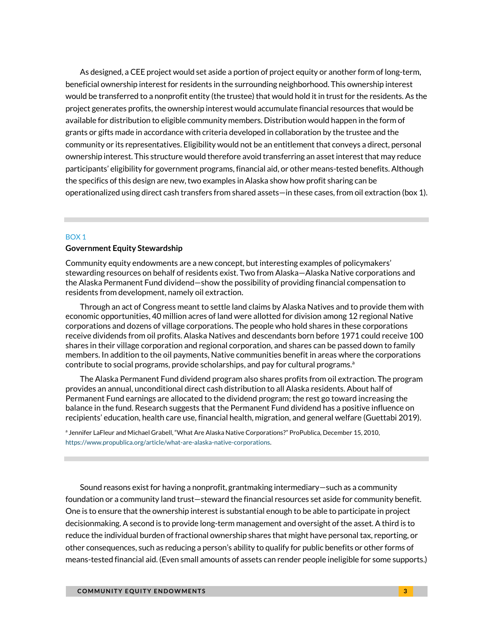As designed, a CEE project would set aside a portion of project equity or another form of long-term, beneficial ownership interest for residents in the surrounding neighborhood. This ownership interest would be transferred to a nonprofit entity (the trustee) that would hold it in trust for the residents. As the project generates profits, the ownership interest would accumulate financial resources that would be available for distribution to eligible community members. Distribution would happen in the form of grants or gifts made in accordance with criteria developed in collaboration by the trustee and the community or its representatives. Eligibility would not be an entitlement that conveys a direct, personal ownership interest. This structure would therefore avoid transferring an asset interest that may reduce participants' eligibility for government programs, financial aid, or other means-tested benefits. Although the specifics of this design are new, two examples in Alaska show how profit sharing can be operationalized using direct cash transfers from shared assets—in these cases, from oil extraction (box 1).

#### BOX 1

#### **Government Equity Stewardship**

Community equity endowments are a new concept, but interesting examples of policymakers' stewarding resources on behalf of residents exist. Two from Alaska—Alaska Native corporations and the Alaska Permanent Fund dividend—show the possibility of providing financial compensation to residents from development, namely oil extraction.

Through an act of Congress meant to settle land claims by Alaska Natives and to provide them with economic opportunities, 40 million acres of land were allotted for division among 12 regional Native corporations and dozens of village corporations. The people who hold shares in these corporations receive dividends from oil profits. Alaska Natives and descendants born before 1971 could receive 100 shares in their village corporation and regional corporation, and shares can be passed down to family members. In addition to the oil payments, Native communities benefit in areas where the corporations contribute to social programs, provide scholarships, and pay for cultural programs. $a$ 

The Alaska Permanent Fund dividend program also shares profits from oil extraction. The program provides an annual, unconditional direct cash distribution to all Alaska residents. About half of Permanent Fund earnings are allocated to the dividend program; the rest go toward increasing the balance in the fund. Research suggests that the Permanent Fund dividend has a positive influence on recipients' education, health care use, financial health, migration, and general welfare (Guettabi 2019).

a Jennifer LaFleur and Michael Grabell, "What Are Alaska Native Corporations?" ProPublica, December 15, 2010, [https://www.propublica.org/article/what-are-alaska-native-corporations.](https://www.propublica.org/article/what-are-alaska-native-corporations)

Sound reasons exist for having a nonprofit, grantmaking intermediary—such as a community foundation or a community land trust—steward the financial resources set aside for community benefit. One is to ensure that the ownership interest is substantial enough to be able to participate in project decisionmaking. A second is to provide long-term management and oversight of the asset. A third is to reduce the individual burden of fractional ownership shares that might have personal tax, reporting, or other consequences, such as reducing a person's ability to qualify for public benefits or other forms of means-tested financial aid. (Even small amounts of assets can render people ineligible for some supports.)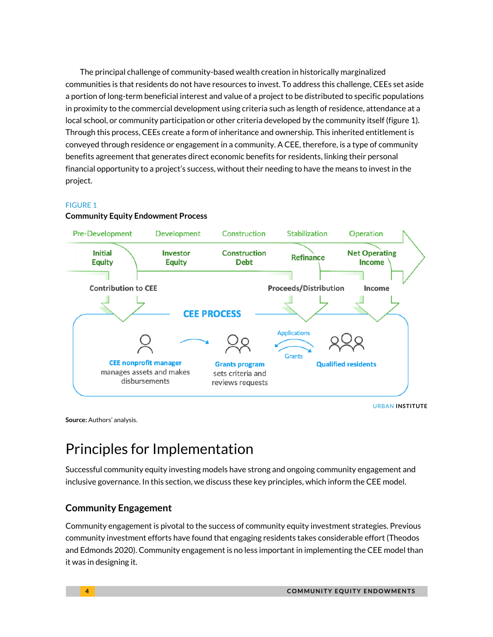The principal challenge of community-based wealth creation in historically marginalized communities is that residents do not have resources to invest. To address this challenge, CEEs set aside a portion of long-term beneficial interest and value of a project to be distributed to specific populations in proximity to the commercial development using criteria such as length of residence, attendance at a local school, or community participation or other criteria developed by the community itself (figure 1). Through this process, CEEs create a form of inheritance and ownership. This inherited entitlement is conveyed through residence or engagement in a community. A CEE, therefore, is a type of community benefits agreement that generates direct economic benefits for residents, linking their personal financial opportunity to a project's success, without their needing to have the means to invest in the project.

### FIGURE 1



#### **Community Equity Endowment Process**

URBAN **INSTITUTE**

**Source:** Authors' analysis.

# Principles for Implementation

Successful community equity investing models have strong and ongoing community engagement and inclusive governance. In this section, we discuss these key principles, which inform the CEE model.

### **Community Engagement**

Community engagement is pivotal to the success of community equity investment strategies. Previous community investment efforts have found that engaging residents takes considerable effort (Theodos and Edmonds 2020). Community engagement is no less important in implementing the CEE model than it was in designing it.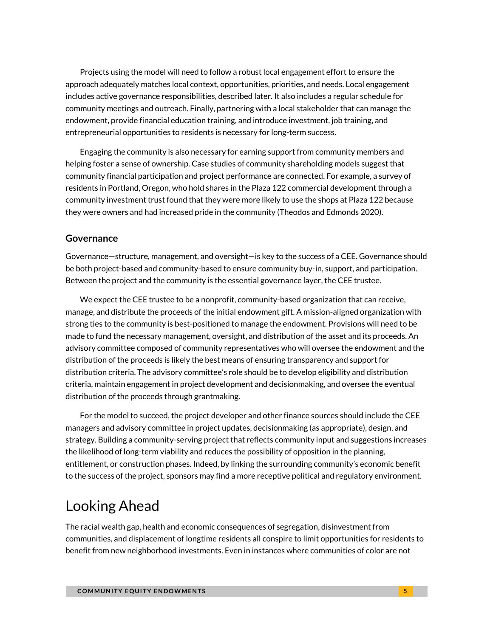Projects using the model will need to follow a robust local engagement effort to ensure the approach adequately matches local context, opportunities, priorities, and needs. Local engagement includes active governance responsibilities, described later. It also includes a regular schedule for community meetings and outreach. Finally, partnering with a local stakeholder that can manage the endowment, provide financial education training, and introduce investment, job training, and entrepreneurial opportunities to residents is necessary for long-term success.

Engaging the community is also necessary for earning support from community members and helping foster a sense of ownership. Case studies of community shareholding models suggest that community financial participation and project performance are connected. For example, a survey of residents in Portland, Oregon, who hold shares in the Plaza 122 commercial development through a community investment trust found that they were more likely to use the shops at Plaza 122 because they were owners and had increased pride in the community (Theodos and Edmonds 2020).

### **Governance**

Governance—structure, management, and oversight—is key to the success of a CEE. Governance should be both project-based and community-based to ensure community buy-in, support, and participation. Between the project and the community is the essential governance layer, the CEE trustee.

We expect the CEE trustee to be a nonprofit, community-based organization that can receive, manage, and distribute the proceeds of the initial endowment gift. A mission-aligned organization with strong ties to the community is best-positioned to manage the endowment. Provisions will need to be made to fund the necessary management, oversight, and distribution of the asset and its proceeds. An advisory committee composed of community representatives who will oversee the endowment and the distribution of the proceeds is likely the best means of ensuring transparency and support for distribution criteria. The advisory committee's role should be to develop eligibility and distribution criteria, maintain engagement in project development and decisionmaking, and oversee the eventual distribution of the proceeds through grantmaking.

For the model to succeed, the project developer and other finance sources should include the CEE managers and advisory committee in project updates, decisionmaking (as appropriate), design, and strategy. Building a community-serving project that reflects community input and suggestions increases the likelihood of long-term viability and reduces the possibility of opposition in the planning, entitlement, or construction phases. Indeed, by linking the surrounding community's economic benefit to the success of the project, sponsors may find a more receptive political and regulatory environment.

## Looking Ahead

The racial wealth gap, health and economic consequences of segregation, disinvestment from communities, and displacement of longtime residents all conspire to limit opportunities for residents to benefit from new neighborhood investments. Even in instances where communities of color are not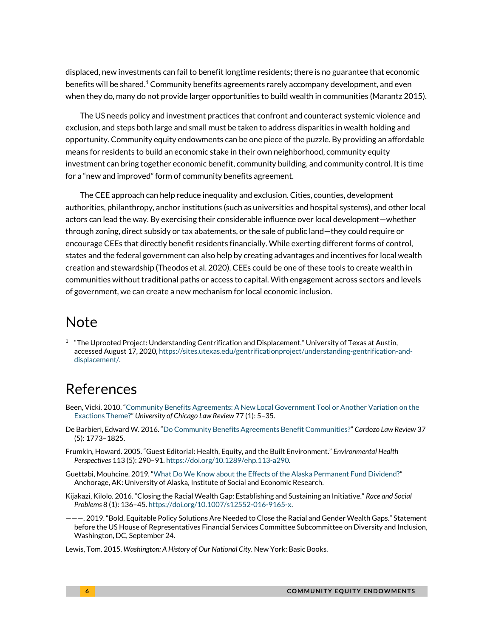displaced, new investments can fail to benefit longtime residents; there is no guarantee that economic benefits will be shared.<sup>1</sup> Community benefits agreements rarely accompany development, and even when they do, many do not provide larger opportunities to build wealth in communities (Marantz 2015).

The US needs policy and investment practices that confront and counteract systemic violence and exclusion, and steps both large and small must be taken to address disparities in wealth holding and opportunity. Community equity endowments can be one piece of the puzzle. By providing an affordable means for residents to build an economic stake in their own neighborhood, community equity investment can bring together economic benefit, community building, and community control. It is time for a "new and improved" form of community benefits agreement.

The CEE approach can help reduce inequality and exclusion. Cities, counties, development authorities, philanthropy, anchor institutions (such as universities and hospital systems), and other local actors can lead the way. By exercising their considerable influence over local development—whether through zoning, direct subsidy or tax abatements, or the sale of public land—they could require or encourage CEEs that directly benefit residents financially. While exerting different forms of control, states and the federal government can also help by creating advantages and incentives for local wealth creation and stewardship (Theodos et al. 2020). CEEs could be one of these tools to create wealth in communities without traditional paths or access to capital. With engagement across sectors and levels of government, we can create a new mechanism for local economic inclusion.

### Note

 $1$  "The Uprooted Project: Understanding Gentrification and Displacement," University of Texas at Austin, accessed August 17, 2020[, https://sites.utexas.edu/gentrificationproject/understanding-gentrification-and](https://sites.utexas.edu/gentrificationproject/understanding-gentrification-and-displacement/)[displacement/.](https://sites.utexas.edu/gentrificationproject/understanding-gentrification-and-displacement/)

## References

- Been, Vicki. 2010. "[Community Benefits Agreements: A New Local Government Tool or Another Variation on the](https://lawreview.uchicago.edu/sites/lawreview.uchicago.edu/files/77-1-Vicki%20Been-CommunityBenefitsAgreements.pdf)  [Exactions Theme?](https://lawreview.uchicago.edu/sites/lawreview.uchicago.edu/files/77-1-Vicki%20Been-CommunityBenefitsAgreements.pdf)" *University of Chicago Law Review* 77 (1): 5–35.
- De Barbieri, Edward W. 2016. "[Do Community Benefits Agreements Benefit Communities?](http://cardozolawreview.com/wp-content/uploads/2018/08/DE-BARBIERI.37.5.pdf)" *Cardozo Law Review* 37 (5): 1773–1825.
- Frumkin, Howard. 2005. "Guest Editorial: Health, Equity, and the Built Environment." *Environmental Health Perspectives* 113 (5): 290–91[. https://doi.org/10.1289/ehp.113-a290.](https://doi.org/10.1289/ehp.113-a290)
- Guettabi, Mouhcine. 2019. "[What Do We Know about the Effects of the Alaska Permanent Fund Dividend?](https://iseralaska.org/publications/?id=1761)" Anchorage, AK: University of Alaska, Institute of Social and Economic Research.
- Kijakazi, Kilolo. 2016. "Closing the Racial Wealth Gap: Establishing and Sustaining an Initiative." *Race and Social Problems* 8 (1): 136–45. [https://doi.org/10.1007/s12552-016-9165-x.](https://doi.org/10.1007/s12552-016-9165-x)
- ———. 2019. "Bold, Equitable Policy Solutions Are Needed to Close the Racial and Gender Wealth Gaps." Statement before the US House of Representatives Financial Services Committee Subcommittee on Diversity and Inclusion, Washington, DC, September 24.
- Lewis, Tom. 2015. *Washington: A History of Our National City*. New York: Basic Books.